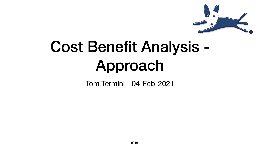#### Cost Benefit Analysis - Approach Tom Termini - 04-Feb-2021

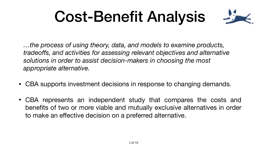# Cost-Benefit Analysis

*…the process of using theory, data, and models to examine products, tradeoffs, and activities for assessing relevant objectives and alternative solutions in order to assist decision-makers in choosing the most appropriate alternative.* 

• CBA supports investment decisions in response to changing demands.

• CBA represents an independent study that compares the costs and benefits of two or more viable and mutually exclusive alternatives in order

- 
- to make an effective decision on a preferred alternative.



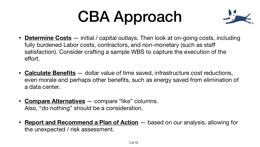# CBA Approach

• **Determine Costs** — initial / capital outlays. Then look at on-going costs, including satisfaction). Consider crafting a sample WBS to capture the execution of the

• **Calculate Benefits** — dollar value of time saved, infrastructure cost reductions, even morale and perhaps other benefits, such as energy saved from elimination of

- fully burdened Labor costs, contractors, and non-monetary (such as staff effort.
- a data center.
- **Compare Alternatives** compare "like" columns. Also, "do nothing" should be a consideration.
- the unexpected / risk assessment.



• **Report and Recommend a Plan of Action** — based on our analysis, allowing for

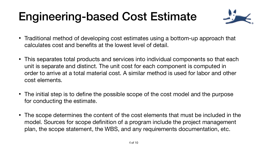#### Engineering-based Cost Estimate

• Traditional method of developing cost estimates using a bottom-up approach that

• This separates total products and services into individual components so that each unit is separate and distinct. The unit cost for each component is computed in order to arrive at a total material cost. A similar method is used for labor and other

• The initial step is to define the possible scope of the cost model and the purpose

- calculates cost and benefits at the lowest level of detail.
- cost elements.
- for conducting the estimate.
- 



• The scope determines the content of the cost elements that must be included in the model. Sources for scope definition of a program include the project management plan, the scope statement, the WBS, and any requirements documentation, etc.

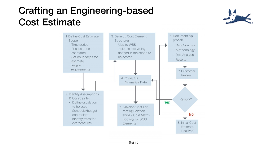#### Crafting an Engineering-based Cost Estimate





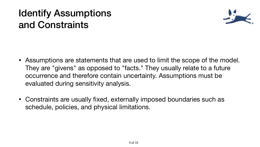#### Identify Assumptions and Constraints

• Assumptions are statements that are used to limit the scope of the model. They are "givens" as opposed to "facts." They usually relate to a future occurrence and therefore contain uncertainty. Assumptions must be

- evaluated during sensitivity analysis.
- Constraints are usually fixed, externally imposed boundaries such as schedule, policies, and physical limitations.



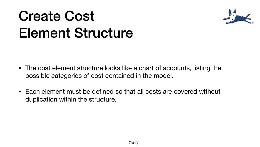## Create Cost Element Structure

- The cost element structure looks like a chart of accounts, listing the possible categories of cost contained in the model.
- Each element must be defined so that all costs are covered without duplication within the structure.



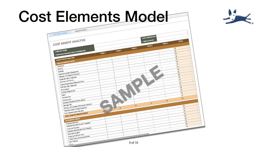## Cost Elements Model

|                                                                | Analysis Summary                                           |              |              |
|----------------------------------------------------------------|------------------------------------------------------------|--------------|--------------|
| <b>Cost Benefit Analysis</b>                                   |                                                            |              |              |
|                                                                |                                                            |              |              |
|                                                                | COST BENEFIT ANALYSIS                                      |              |              |
|                                                                |                                                            |              |              |
| <b>COMPANY NAME</b>                                            |                                                            |              | <b>YEAR2</b> |
|                                                                | PROPOSED PRODUCT/INITIATIVE/SERVICE                        | <b>YEAR1</b> |              |
|                                                                |                                                            |              |              |
|                                                                | <b>QUANTITATIVE ANALYSIS</b>                               |              |              |
| <b>NON-RECURRING COSTS</b>                                     |                                                            |              |              |
| Hardware                                                       |                                                            |              |              |
| Servers                                                        |                                                            |              |              |
| Desktop                                                        |                                                            |              |              |
| Telecommunication Equipment                                    |                                                            |              |              |
| Software (Packaged or Custom)                                  |                                                            |              |              |
| Computer Room Upgrades                                         |                                                            |              |              |
| Furniture and Fixtures<br>Project Organizational/Support Costs |                                                            |              |              |
| Planning (upon Approval)                                       |                                                            |              |              |
|                                                                |                                                            |              |              |
| Procurement<br><b>Contract Negotiations</b>                    |                                                            |              |              |
|                                                                |                                                            |              |              |
| Labor<br>Infrastructure                                        |                                                            |              |              |
|                                                                | Development                                                |              |              |
|                                                                | Business Process Owners (Users)                            |              |              |
|                                                                | Training of Employees (Pre-Implementation)<br>Management   |              |              |
|                                                                |                                                            |              | \$           |
|                                                                | Transition Costs (Parallel Systems)                        |              |              |
|                                                                | Post-Implementation Reviews                                |              |              |
|                                                                | TOTAL NON-RECURRING COSTS                                  |              |              |
|                                                                |                                                            |              |              |
|                                                                | <b>RECURRING COSTS</b>                                     |              |              |
|                                                                | Hardware/Software<br>Software Maintenance and Upgrades     |              |              |
|                                                                |                                                            |              |              |
|                                                                | Computer Supplies<br>Desktops (Incremental to the Project) |              |              |
|                                                                |                                                            |              |              |
|                                                                | Help Desk Support<br>Ongoing Additional Labor              |              |              |
|                                                                | IT Staff Costs (including Benefits)                        |              |              |
|                                                                | User Training                                              |              |              |
|                                                                |                                                            |              |              |
|                                                                | Other                                                      |              |              |







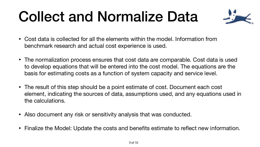## Collect and Normalize Data

• The normalization process ensures that cost data are comparable. Cost data is used to develop equations that will be entered into the cost model. The equations are the

- Cost data is collected for all the elements within the model. Information from benchmark research and actual cost experience is used.
- basis for estimating costs as a function of system capacity and service level.
- The result of this step should be a point estimate of cost. Document each cost the calculations.
- Also document any risk or sensitivity analysis that was conducted.
- 



element, indicating the sources of data, assumptions used, and any equations used in

• Finalize the Model: Update the costs and benefits estimate to reflect new information.